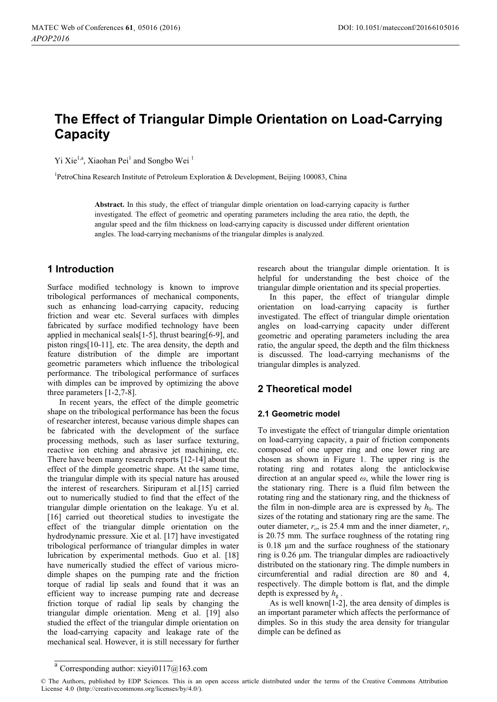# **The Effect of Triangular Dimple Orientation on Load-Carrying Capacity**

Yi Xie<sup>1,a</sup>, Xiaohan Pei<sup>1</sup> and Songbo Wei<sup>1</sup>

<sup>1</sup>PetroChina Research Institute of Petroleum Exploration & Development, Beijing 100083, China

**Abstract.** In this study, the effect of triangular dimple orientation on load-carrying capacity is further investigated. The effect of geometric and operating parameters including the area ratio, the depth, the angular speed and the film thickness on load-carrying capacity is discussed under different orientation angles. The load-carrying mechanisms of the triangular dimples is analyzed.

# **1 Introduction**

Surface modified technology is known to improve tribological performances of mechanical components, such as enhancing load-carrying capacity, reducing friction and wear etc. Several surfaces with dimples fabricated by surface modified technology have been applied in mechanical seals[1-5], thrust bearing[6-9], and piston rings[10-11], etc. The area density, the depth and feature distribution of the dimple are important geometric parameters which influence the tribological performance. The tribological performance of surfaces with dimples can be improved by optimizing the above three parameters [1-2,7-8].

In recent years, the effect of the dimple geometric shape on the tribological performance has been the focus of researcher interest, because various dimple shapes can be fabricated with the development of the surface processing methods, such as laser surface texturing, reactive ion etching and abrasive jet machining, etc. There have been many research reports [12-14] about the effect of the dimple geometric shape. At the same time, the triangular dimple with its special nature has aroused the interest of researchers. Siripuram et al.[15] carried out to numerically studied to find that the effect of the triangular dimple orientation on the leakage. Yu et al. [16] carried out theoretical studies to investigate the effect of the triangular dimple orientation on the hydrodynamic pressure. Xie et al. [17] have investigated tribological performance of triangular dimples in water lubrication by experimental methods. Guo et al. [18] have numerically studied the effect of various microdimple shapes on the pumping rate and the friction torque of radial lip seals and found that it was an efficient way to increase pumping rate and decrease friction torque of radial lip seals by changing the triangular dimple orientation. Meng et al. [19] also studied the effect of the triangular dimple orientation on the load-carrying capacity and leakage rate of the mechanical seal. However, it is still necessary for further

research about the triangular dimple orientation. It is helpful for understanding the best choice of the triangular dimple orientation and its special properties.

In this paper, the effect of triangular dimple orientation on load-carrying capacity is further investigated. The effect of triangular dimple orientation angles on load-carrying capacity under different geometric and operating parameters including the area ratio, the angular speed, the depth and the film thickness is discussed. The load-carrying mechanisms of the triangular dimples is analyzed.

# **2 Theoretical model**

# **2.1 Geometric model**

To investigate the effect of triangular dimple orientation on load-carrying capacity, a pair of friction components composed of one upper ring and one lower ring are chosen as shown in Figure 1. The upper ring is the rotating ring and rotates along the anticlockwise direction at an angular speed  $\omega$ , while the lower ring is the stationary ring. There is a fluid film between the rotating ring and the stationary ring, and the thickness of the film in non-dimple area are is expressed by  $h_0$ . The sizes of the rotating and stationary ring are the same. The outer diameter,  $r<sub>o</sub>$ , is 25.4 mm and the inner diameter,  $r<sub>i</sub>$ , is 20.75 mm. The surface roughness of the rotating ring is  $0.18$   $\mu$ m and the surface roughness of the stationary ring is 0.26  $\mu$ m. The triangular dimples are radioactively distributed on the stationary ring. The dimple numbers in circumferential and radial direction are 80 and 4, respectively. The dimple bottom is flat, and the dimple depth is expressed by  $h_{\rm g}$ .

As is well known[1-2], the area density of dimples is an important parameter which affects the performance of dimples. So in this study the area density for triangular dimple can be defined as

<sup>a</sup> Corresponding author: [xieyi0117@163.com](mailto:xieyi0117@163.com)

<sup>©</sup> The Authors, published by EDP Sciences. This is an open access article distributed under the terms of the Creative Commons Attribution License 4.0 ([http://creativecommons.org/licenses/by/4.0/\).](http://creativecommons.org/licenses/by/4.0/)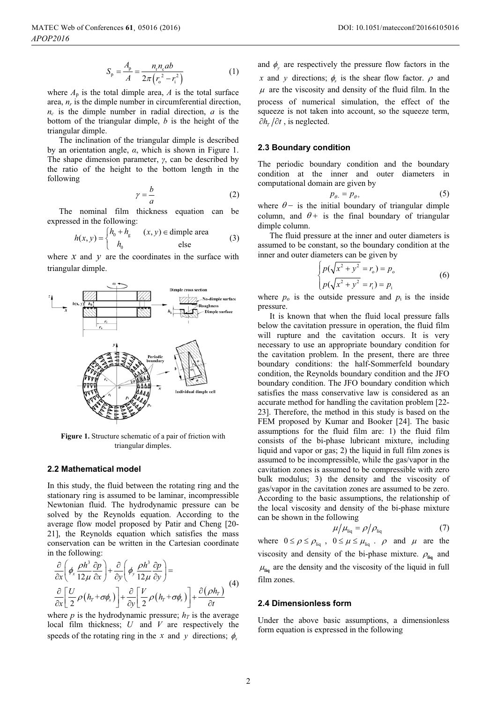$$
S_{\rm p} = \frac{A_{\rm p}}{A} = \frac{n_{\rm r} n_{\rm c} ab}{2\pi (r_{\rm o}^2 - r_{\rm i}^2)}
$$
 (1)

where  $A_p$  is the total dimple area,  $A$  is the total surface area,  $n_r$  is the dimple number in circumferential direction, *nc* is the dimple number in radial direction, *a* is the bottom of the triangular dimple, *b* is the height of the triangular dimple.

The inclination of the triangular dimple is described by an orientation angle,  $\alpha$ , which is shown in Figure 1. The shape dimension parameter,  $\gamma$ , can be described by the ratio of the height to the bottom length in the following

$$
\gamma = \frac{b}{a} \tag{2}
$$

The nominal film thickness equation can be expressed in the following:

$$
h(x, y) = \begin{cases} h_0 + h_g & (x, y) \in \text{dimple area} \\ h_0 & \text{else} \end{cases}
$$
 (3)

where *x* and *y* are the coordinates in the surface with triangular dimple.



**Figure 1.** Structure schematic of a pair of friction with triangular dimples.

#### **2.2 Mathematical model**

In this study, the fluid between the rotating ring and the stationary ring is assumed to be laminar, incompressible Newtonian fluid. The hydrodynamic pressure can be solved by the Reynolds equation. According to the average flow model proposed by Patir and Cheng [20- 21], the Reynolds equation which satisfies the mass conservation can be written in the Cartesian coordinate in the following:

$$
\frac{\partial}{\partial x}\left(\phi_x \frac{\rho h^3}{12\mu} \frac{\partial p}{\partial x}\right) + \frac{\partial}{\partial y}\left(\phi_y \frac{\rho h^3}{12\mu} \frac{\partial p}{\partial y}\right) =
$$
\n
$$
\frac{\partial}{\partial x}\left[\frac{U}{2}\rho\left(h_r + \sigma\phi_s\right)\right] + \frac{\partial}{\partial y}\left[\frac{V}{2}\rho\left(h_r + \sigma\phi_s\right)\right] + \frac{\partial(\rho h_r)}{\partial t} \tag{4}
$$

where *p* is the hydrodynamic pressure;  $h<sub>T</sub>$  is the average local film thickness; *U* and *V* are respectively the speeds of the rotating ring in the *x* and *y* directions;  $\phi$ .

and  $\phi$ <sub>v</sub> are respectively the pressure flow factors in the *x* and *y* directions;  $\phi$ , is the shear flow factor.  $\rho$  and  $\mu$  are the viscosity and density of the fluid film. In the process of numerical simulation, the effect of the squeeze is not taken into account, so the squeeze term,  $\partial h_r / \partial t$ , is neglected.

#### **2.3 Boundary condition**

The periodic boundary condition and the boundary condition at the inner and outer diameters in computational domain are given by

$$
p_{\theta} = p_{\theta^+} \tag{5}
$$

where  $\theta$ - is the initial boundary of triangular dimple column, and  $\theta$ + is the final boundary of triangular dimple column.

The fluid pressure at the inner and outer diameters is assumed to be constant, so the boundary condition at the inner and outer diameters can be given by

$$
\begin{cases}\np(\sqrt{x^2 + y^2} = r_0) = p_0 \\
p(\sqrt{x^2 + y^2} = r_i) = p_i\n\end{cases}
$$
\n(6)

where  $p_0$  is the outside pressure and  $p_i$  is the inside pressure.

It is known that when the fluid local pressure falls below the cavitation pressure in operation, the fluid film will rupture and the cavitation occurs. It is very necessary to use an appropriate boundary condition for the cavitation problem. In the present, there are three boundary conditions: the half-Sommerfeld boundary condition, the Reynolds boundary condition and the JFO boundary condition. The JFO boundary condition which satisfies the mass conservative law is considered as an accurate method for handling the cavitation problem [22- 23]. Therefore, the method in this study is based on the FEM proposed by Kumar and Booker [24]. The basic assumptions for the fluid film are: 1) the fluid film consists of the bi-phase lubricant mixture, including liquid and vapor or gas; 2) the liquid in full film zones is assumed to be incompressible, while the gas/vapor in the cavitation zones is assumed to be compressible with zero bulk modulus; 3) the density and the viscosity of gas/vapor in the cavitation zones are assumed to be zero. According to the basic assumptions, the relationship of the local viscosity and density of the bi-phase mixture can be shown in the following

$$
\mu/\mu_{\text{liq}} = \rho/\rho_{\text{liq}} \tag{7}
$$

where  $0 \le \rho \le \rho_{\text{liq}}$ ,  $0 \le \mu \le \mu_{\text{liq}}$ .  $\rho$  and  $\mu$  are the viscosity and density of the bi-phase mixture.  $\rho_{\text{liq}}$  and  $\mu_{\text{liq}}$  are the density and the viscosity of the liquid in full film zones.

#### **2.4 Dimensionless form**

Under the above basic assumptions, a dimensionless form equation is expressed in the following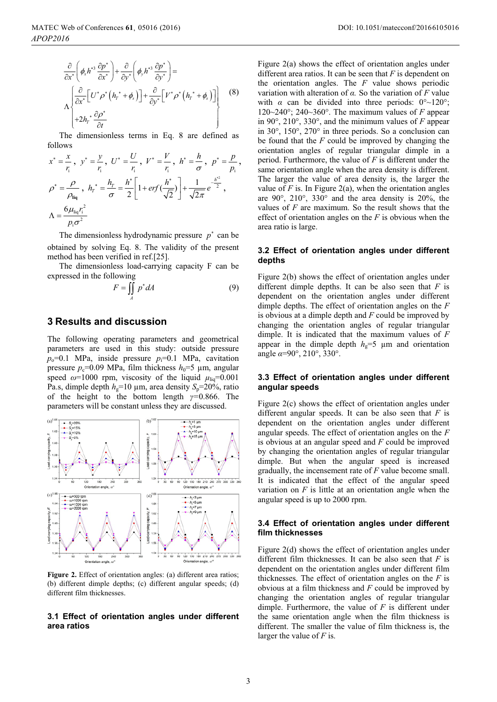$$
\frac{\partial}{\partial x^*} \left( \phi_x h^{*3} \frac{\partial p^*}{\partial x^*} \right) + \frac{\partial}{\partial y^*} \left( \phi_y h^{*3} \frac{\partial p^*}{\partial y^*} \right) =
$$
\n
$$
\Lambda \left\{ \frac{\partial}{\partial x^*} \left[ U^* \rho^* \left( h_r^* + \phi_s \right) \right] + \frac{\partial}{\partial y^*} \left[ V^* \rho^* \left( h_r^* + \phi_s \right) \right] \right\} + 2h_r^* \frac{\partial \rho^*}{\partial t} \qquad (8)
$$

The dimensionless terms in Eq. 8 are defined as follows

$$
x^* = \frac{x}{r_i}, \ y^* = \frac{y}{r_i}, \ U^* = \frac{U}{r_i}, \ V^* = \frac{V}{r_i}, \ h^* = \frac{h}{\sigma}, \ p^* = \frac{p}{p_i},
$$
  

$$
\rho^* = \frac{\rho}{\rho_{liq}}, \ h_r^* = \frac{h_r}{\sigma} = \frac{h^*}{2} \left[ 1 + erf(\frac{h^*}{\sqrt{2}}) \right] + \frac{1}{\sqrt{2\pi}} e^{-\frac{h'^2}{2}},
$$
  

$$
\Lambda = \frac{6\mu_{liq}r_i^2}{p_i\sigma^2}
$$

The dimensionless hydrodynamic pressure  $p^*$  can be obtained by solving Eq. 8. The validity of the present method has been verified in ref.[25].

The dimensionless load-carrying capacity F can be expressed in the following

$$
F = \iint\limits_A p^* dA \tag{9}
$$

## **3 Results and discussion**

The following operating parameters and geometrical parameters are used in this study: outside pressure  $p_0$ =0.1 MPa, inside pressure  $p_1$ =0.1 MPa, cavitation pressure  $p_c$ =0.09 MPa, film thickness  $h_0$ =5  $\mu$ m, angular speed  $\omega$ =1000 rpm, viscosity of the liquid  $\mu_{\text{liq}}$ =0.001 Pa.s, dimple depth  $h_g=10 \mu m$ , area density  $S_p=20\%$ , ratio of the height to the bottom length  $\gamma=0.866$ . The parameters will be constant unless they are discussed.



Figure 2. Effect of orientation angles: (a) different area ratios; (b) different dimple depths; (c) different angular speeds; (d) different film thicknesses.

#### **3.1 Effect of orientation angles under different area ratios**

Figure 2(a) shows the effect of orientation angles under different area ratios. It can be seen that *F* is dependent on the orientation angles. The *F* value shows periodic variation with alteration of  $\alpha$ . So the variation of  $F$  value with  $\alpha$  can be divided into three periods:  $0^{\circ}$  ~ 120°; 120~240°; 240~360°. The maximum values of  $F$  appear in 90°, 210°, 330°, and the minimum values of *F* appear in 30°, 150°, 270° in three periods. So a conclusion can be found that the *F* could be improved by changing the orientation angles of regular triangular dimple in a period. Furthermore, the value of *F* is different under the same orientation angle when the area density is different. The larger the value of area density is, the larger the value of  $F$  is. In Figure 2(a), when the orientation angles are 90°, 210°, 330° and the area density is 20%, the values of *F* are maximum. So the result shows that the effect of orientation angles on the *F* is obvious when the area ratio is large.

#### **3.2 Effect of orientation angles under different depths**

Figure 2(b) shows the effect of orientation angles under different dimple depths. It can be also seen that *F* is dependent on the orientation angles under different dimple depths. The effect of orientation angles on the *F* is obvious at a dimple depth and *F* could be improved by changing the orientation angles of regular triangular dimple. It is indicated that the maximum values of *F*  appear in the dimple depth  $h<sub>g</sub>=5$  µm and orientation angle  $\alpha$ =90°, 210°, 330°.

### **3.3 Effect of orientation angles under different angular speeds**

Figure 2(c) shows the effect of orientation angles under different angular speeds. It can be also seen that *F* is dependent on the orientation angles under different angular speeds. The effect of orientation angles on the *F* is obvious at an angular speed and *F* could be improved by changing the orientation angles of regular triangular dimple. But when the angular speed is increased gradually, the incensement rate of *F* value become small. It is indicated that the effect of the angular speed variation on  $F$  is little at an orientation angle when the angular speed is up to 2000 rpm.

#### **3.4 Effect of orientation angles under different film thicknesses**

Figure 2(d) shows the effect of orientation angles under different film thicknesses. It can be also seen that *F* is dependent on the orientation angles under different film thicknesses. The effect of orientation angles on the *F* is obvious at a film thickness and *F* could be improved by changing the orientation angles of regular triangular dimple. Furthermore, the value of *F* is different under the same orientation angle when the film thickness is different. The smaller the value of film thickness is, the larger the value of *F* is.